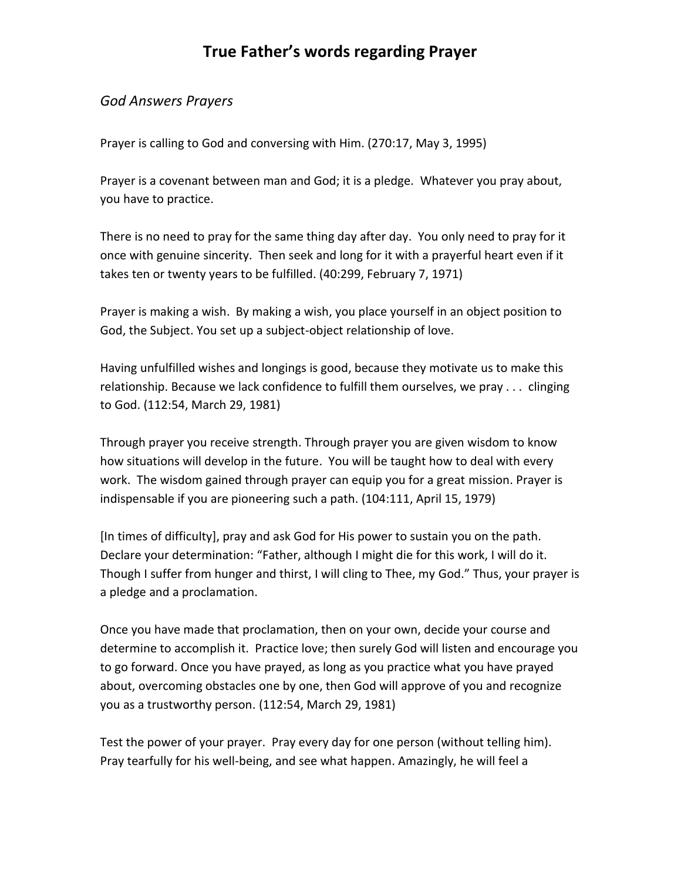#### *God Answers Prayers*

Prayer is calling to God and conversing with Him. (270:17, May 3, 1995)

Prayer is a covenant between man and God; it is a pledge. Whatever you pray about, you have to practice.

There is no need to pray for the same thing day after day. You only need to pray for it once with genuine sincerity. Then seek and long for it with a prayerful heart even if it takes ten or twenty years to be fulfilled. (40:299, February 7, 1971)

Prayer is making a wish. By making a wish, you place yourself in an object position to God, the Subject. You set up a subject-object relationship of love.

Having unfulfilled wishes and longings is good, because they motivate us to make this relationship. Because we lack confidence to fulfill them ourselves, we pray . . . clinging to God. (112:54, March 29, 1981)

Through prayer you receive strength. Through prayer you are given wisdom to know how situations will develop in the future. You will be taught how to deal with every work. The wisdom gained through prayer can equip you for a great mission. Prayer is indispensable if you are pioneering such a path. (104:111, April 15, 1979)

[In times of difficulty], pray and ask God for His power to sustain you on the path. Declare your determination: "Father, although I might die for this work, I will do it. Though I suffer from hunger and thirst, I will cling to Thee, my God." Thus, your prayer is a pledge and a proclamation.

Once you have made that proclamation, then on your own, decide your course and determine to accomplish it. Practice love; then surely God will listen and encourage you to go forward. Once you have prayed, as long as you practice what you have prayed about, overcoming obstacles one by one, then God will approve of you and recognize you as a trustworthy person. (112:54, March 29, 1981)

Test the power of your prayer. Pray every day for one person (without telling him). Pray tearfully for his well-being, and see what happen. Amazingly, he will feel a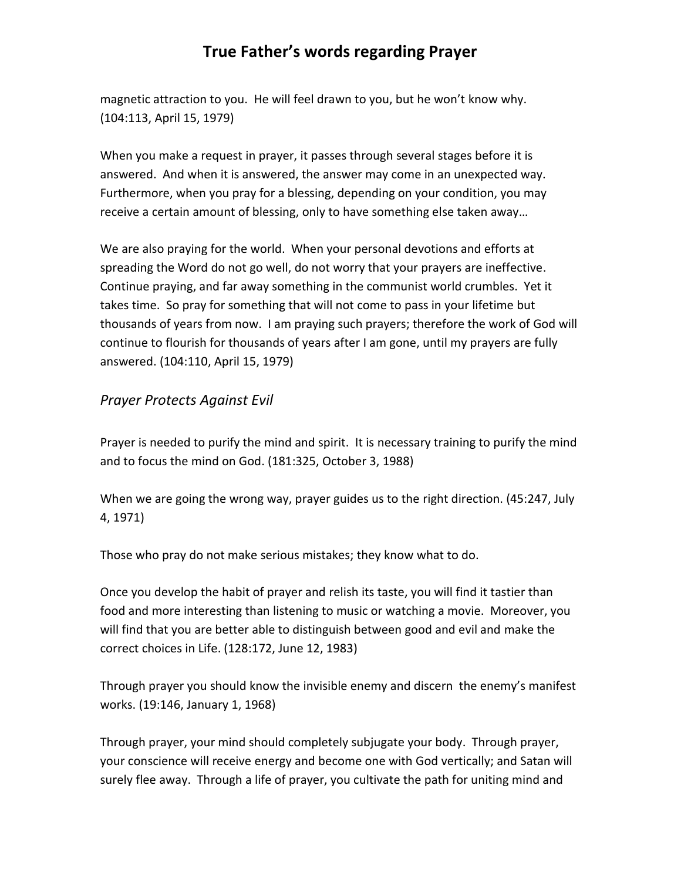magnetic attraction to you. He will feel drawn to you, but he won't know why. (104:113, April 15, 1979)

When you make a request in prayer, it passes through several stages before it is answered. And when it is answered, the answer may come in an unexpected way. Furthermore, when you pray for a blessing, depending on your condition, you may receive a certain amount of blessing, only to have something else taken away…

We are also praying for the world. When your personal devotions and efforts at spreading the Word do not go well, do not worry that your prayers are ineffective. Continue praying, and far away something in the communist world crumbles. Yet it takes time. So pray for something that will not come to pass in your lifetime but thousands of years from now. I am praying such prayers; therefore the work of God will continue to flourish for thousands of years after I am gone, until my prayers are fully answered. (104:110, April 15, 1979)

#### *Prayer Protects Against Evil*

Prayer is needed to purify the mind and spirit. It is necessary training to purify the mind and to focus the mind on God. (181:325, October 3, 1988)

When we are going the wrong way, prayer guides us to the right direction. (45:247, July 4, 1971)

Those who pray do not make serious mistakes; they know what to do.

Once you develop the habit of prayer and relish its taste, you will find it tastier than food and more interesting than listening to music or watching a movie. Moreover, you will find that you are better able to distinguish between good and evil and make the correct choices in Life. (128:172, June 12, 1983)

Through prayer you should know the invisible enemy and discern the enemy's manifest works. (19:146, January 1, 1968)

Through prayer, your mind should completely subjugate your body. Through prayer, your conscience will receive energy and become one with God vertically; and Satan will surely flee away. Through a life of prayer, you cultivate the path for uniting mind and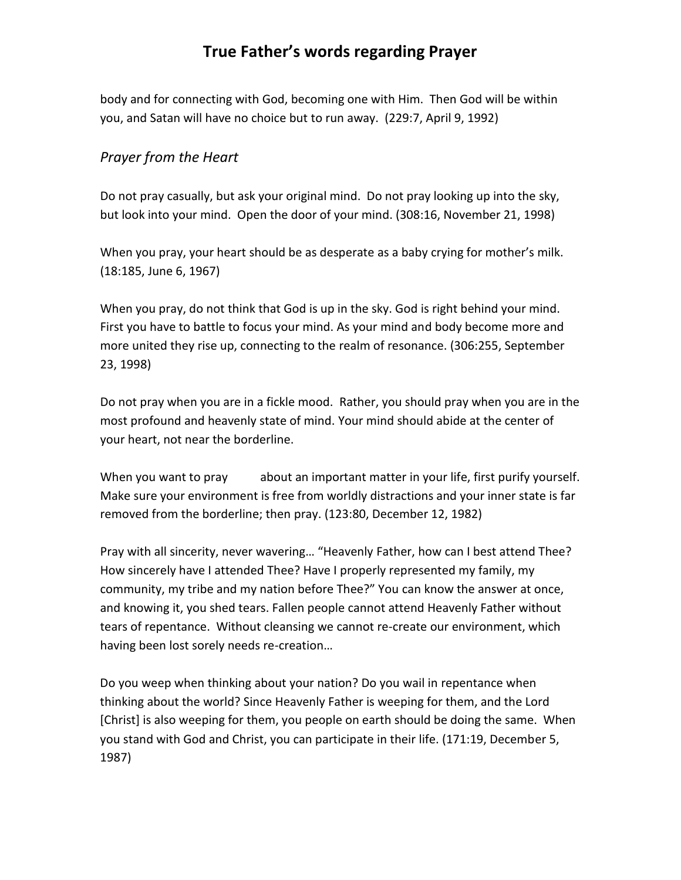body and for connecting with God, becoming one with Him. Then God will be within you, and Satan will have no choice but to run away. (229:7, April 9, 1992)

#### *Prayer from the Heart*

Do not pray casually, but ask your original mind. Do not pray looking up into the sky, but look into your mind. Open the door of your mind. (308:16, November 21, 1998)

When you pray, your heart should be as desperate as a baby crying for mother's milk. (18:185, June 6, 1967)

When you pray, do not think that God is up in the sky. God is right behind your mind. First you have to battle to focus your mind. As your mind and body become more and more united they rise up, connecting to the realm of resonance. (306:255, September 23, 1998)

Do not pray when you are in a fickle mood. Rather, you should pray when you are in the most profound and heavenly state of mind. Your mind should abide at the center of your heart, not near the borderline.

When you want to pray about an important matter in your life, first purify yourself. Make sure your environment is free from worldly distractions and your inner state is far removed from the borderline; then pray. (123:80, December 12, 1982)

Pray with all sincerity, never wavering… "Heavenly Father, how can I best attend Thee? How sincerely have I attended Thee? Have I properly represented my family, my community, my tribe and my nation before Thee?" You can know the answer at once, and knowing it, you shed tears. Fallen people cannot attend Heavenly Father without tears of repentance. Without cleansing we cannot re-create our environment, which having been lost sorely needs re-creation…

Do you weep when thinking about your nation? Do you wail in repentance when thinking about the world? Since Heavenly Father is weeping for them, and the Lord [Christ] is also weeping for them, you people on earth should be doing the same. When you stand with God and Christ, you can participate in their life. (171:19, December 5, 1987)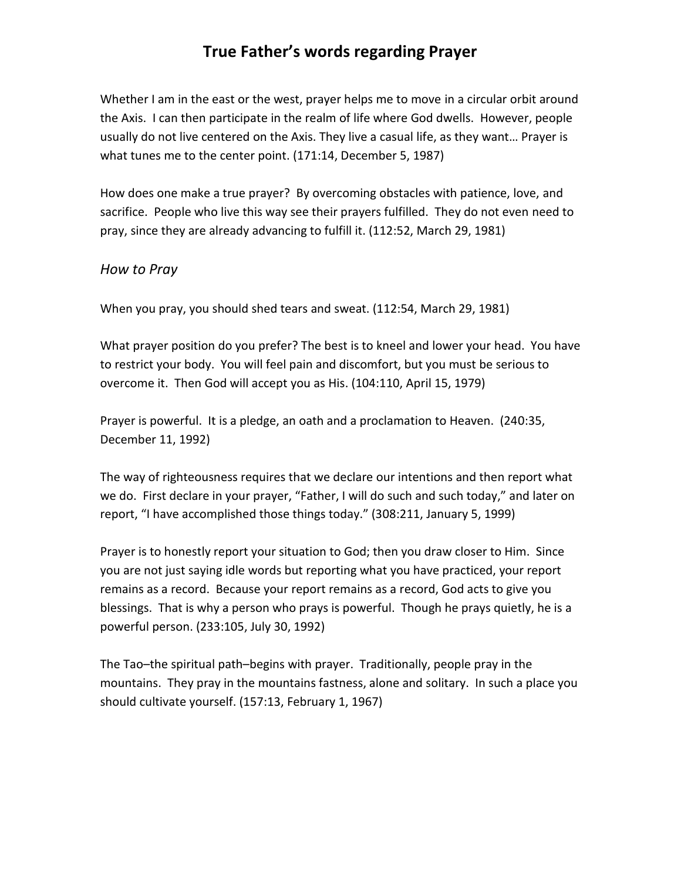Whether I am in the east or the west, prayer helps me to move in a circular orbit around the Axis. I can then participate in the realm of life where God dwells. However, people usually do not live centered on the Axis. They live a casual life, as they want… Prayer is what tunes me to the center point. (171:14, December 5, 1987)

How does one make a true prayer? By overcoming obstacles with patience, love, and sacrifice. People who live this way see their prayers fulfilled. They do not even need to pray, since they are already advancing to fulfill it. (112:52, March 29, 1981)

#### *How to Pray*

When you pray, you should shed tears and sweat. (112:54, March 29, 1981)

What prayer position do you prefer? The best is to kneel and lower your head. You have to restrict your body. You will feel pain and discomfort, but you must be serious to overcome it. Then God will accept you as His. (104:110, April 15, 1979)

Prayer is powerful. It is a pledge, an oath and a proclamation to Heaven. (240:35, December 11, 1992)

The way of righteousness requires that we declare our intentions and then report what we do. First declare in your prayer, "Father, I will do such and such today," and later on report, "I have accomplished those things today." (308:211, January 5, 1999)

Prayer is to honestly report your situation to God; then you draw closer to Him. Since you are not just saying idle words but reporting what you have practiced, your report remains as a record. Because your report remains as a record, God acts to give you blessings. That is why a person who prays is powerful. Though he prays quietly, he is a powerful person. (233:105, July 30, 1992)

The Tao–the spiritual path–begins with prayer. Traditionally, people pray in the mountains. They pray in the mountains fastness, alone and solitary. In such a place you should cultivate yourself. (157:13, February 1, 1967)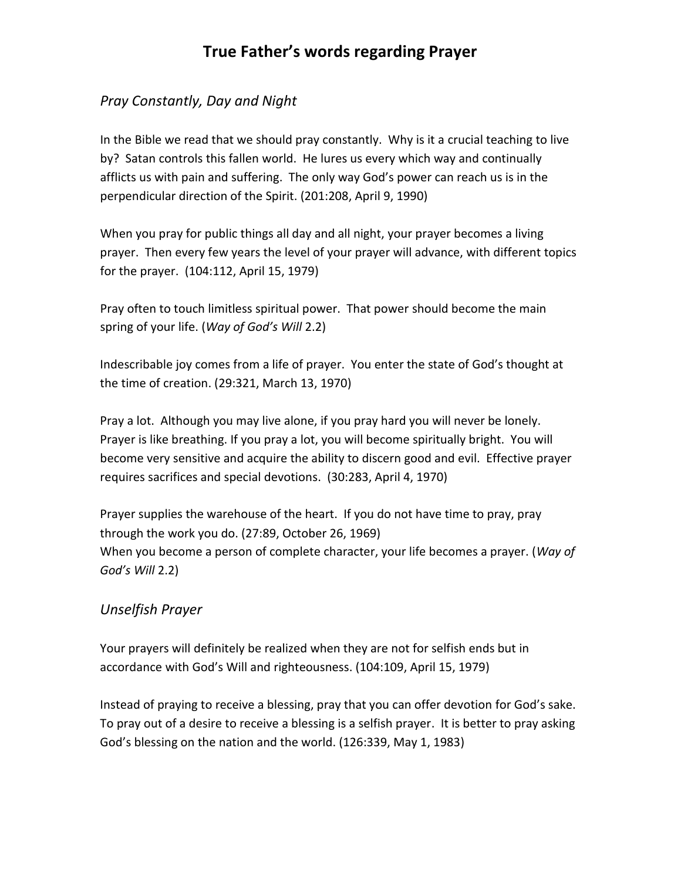#### *Pray Constantly, Day and Night*

In the Bible we read that we should pray constantly. Why is it a crucial teaching to live by? Satan controls this fallen world. He lures us every which way and continually afflicts us with pain and suffering. The only way God's power can reach us is in the perpendicular direction of the Spirit. (201:208, April 9, 1990)

When you pray for public things all day and all night, your prayer becomes a living prayer. Then every few years the level of your prayer will advance, with different topics for the prayer. (104:112, April 15, 1979)

Pray often to touch limitless spiritual power. That power should become the main spring of your life. (*Way of God's Will* 2.2)

Indescribable joy comes from a life of prayer. You enter the state of God's thought at the time of creation. (29:321, March 13, 1970)

Pray a lot. Although you may live alone, if you pray hard you will never be lonely. Prayer is like breathing. If you pray a lot, you will become spiritually bright. You will become very sensitive and acquire the ability to discern good and evil. Effective prayer requires sacrifices and special devotions. (30:283, April 4, 1970)

Prayer supplies the warehouse of the heart. If you do not have time to pray, pray through the work you do. (27:89, October 26, 1969) When you become a person of complete character, your life becomes a prayer. (*Way of God's Will* 2.2)

#### *Unselfish Prayer*

Your prayers will definitely be realized when they are not for selfish ends but in accordance with God's Will and righteousness. (104:109, April 15, 1979)

Instead of praying to receive a blessing, pray that you can offer devotion for God's sake. To pray out of a desire to receive a blessing is a selfish prayer. It is better to pray asking God's blessing on the nation and the world. (126:339, May 1, 1983)